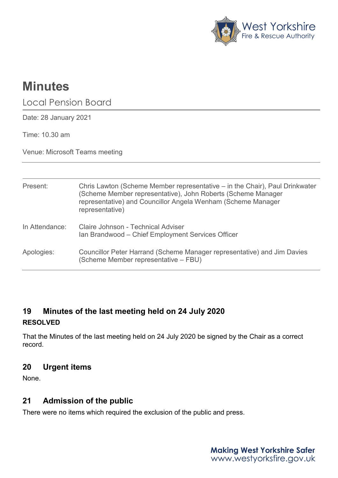

# **Minutes**

Local Pension Board

Date: 28 January 2021

Time: 10.30 am

Venue: Microsoft Teams meeting

| Present:       | Chris Lawton (Scheme Member representative – in the Chair), Paul Drinkwater<br>(Scheme Member representative), John Roberts (Scheme Manager<br>representative) and Councillor Angela Wenham (Scheme Manager<br>representative) |
|----------------|--------------------------------------------------------------------------------------------------------------------------------------------------------------------------------------------------------------------------------|
| In Attendance: | Claire Johnson - Technical Adviser<br>Ian Brandwood - Chief Employment Services Officer                                                                                                                                        |
| Apologies:     | Councillor Peter Harrand (Scheme Manager representative) and Jim Davies<br>(Scheme Member representative – FBU)                                                                                                                |

# **19 Minutes of the last meeting held on 24 July 2020 RESOLVED**

That the Minutes of the last meeting held on 24 July 2020 be signed by the Chair as a correct record.

# **20 Urgent items**

None.

# **21 Admission of the public**

There were no items which required the exclusion of the public and press.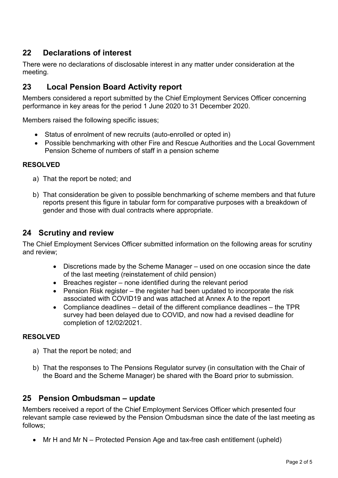# **22 Declarations of interest**

There were no declarations of disclosable interest in any matter under consideration at the meeting.

# **23 Local Pension Board Activity report**

Members considered a report submitted by the Chief Employment Services Officer concerning performance in key areas for the period 1 June 2020 to 31 December 2020.

Members raised the following specific issues;

- Status of enrolment of new recruits (auto-enrolled or opted in)
- Possible benchmarking with other Fire and Rescue Authorities and the Local Government Pension Scheme of numbers of staff in a pension scheme

#### **RESOLVED**

- a) That the report be noted; and
- b) That consideration be given to possible benchmarking of scheme members and that future reports present this figure in tabular form for comparative purposes with a breakdown of gender and those with dual contracts where appropriate.

## **24 Scrutiny and review**

The Chief Employment Services Officer submitted information on the following areas for scrutiny and review;

- Discretions made by the Scheme Manager used on one occasion since the date of the last meeting (reinstatement of child pension)
- Breaches register none identified during the relevant period
- Pension Risk register the register had been updated to incorporate the risk associated with COVID19 and was attached at Annex A to the report
- Compliance deadlines detail of the different compliance deadlines the TPR survey had been delayed due to COVID, and now had a revised deadline for completion of 12/02/2021.

#### **RESOLVED**

- a) That the report be noted; and
- b) That the responses to The Pensions Regulator survey (in consultation with the Chair of the Board and the Scheme Manager) be shared with the Board prior to submission.

## **25 Pension Ombudsman – update**

Members received a report of the Chief Employment Services Officer which presented four relevant sample case reviewed by the Pension Ombudsman since the date of the last meeting as follows;

• Mr H and Mr N – Protected Pension Age and tax-free cash entitlement (upheld)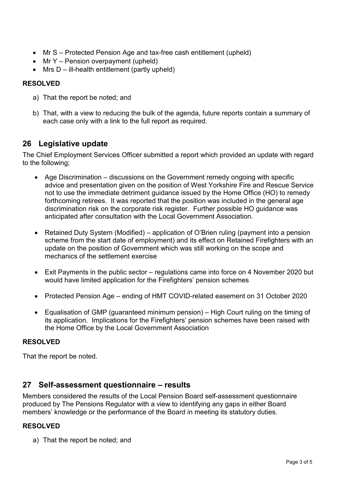- Mr S Protected Pension Age and tax-free cash entitlement (upheld)
- Mr Y Pension overpayment (upheld)
- Mrs  $D iI$ -health entitlement (partly upheld)

### **RESOLVED**

- a) That the report be noted; and
- b) That, with a view to reducing the bulk of the agenda, future reports contain a summary of each case only with a link to the full report as required.

# **26 Legislative update**

The Chief Employment Services Officer submitted a report which provided an update with regard to the following;

- Age Discrimination discussions on the Government remedy ongoing with specific advice and presentation given on the position of West Yorkshire Fire and Rescue Service not to use the immediate detriment guidance issued by the Home Office (HO) to remedy forthcoming retirees. It was reported that the position was included in the general age discrimination risk on the corporate risk register. Further possible HO guidance was anticipated after consultation with the Local Government Association.
- Retained Duty System (Modified) application of O'Brien ruling (payment into a pension scheme from the start date of employment) and its effect on Retained Firefighters with an update on the position of Government which was still working on the scope and mechanics of the settlement exercise
- Exit Payments in the public sector regulations came into force on 4 November 2020 but would have limited application for the Firefighters' pension schemes
- Protected Pension Age ending of HMT COVID-related easement on 31 October 2020
- Equalisation of GMP (guaranteed minimum pension) High Court ruling on the timing of its application. Implications for the Firefighters' pension schemes have been raised with the Home Office by the Local Government Association

#### **RESOLVED**

That the report be noted.

# **27 Self-assessment questionnaire – results**

Members considered the results of the Local Pension Board self-assessment questionnaire produced by The Pensions Regulator with a view to identifying any gaps in either Board members' knowledge or the performance of the Board in meeting its statutory duties.

#### **RESOLVED**

a) That the report be noted; and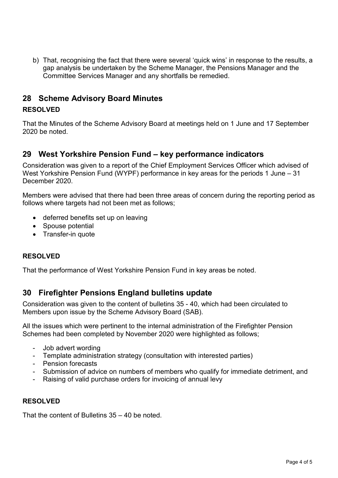b) That, recognising the fact that there were several 'quick wins' in response to the results, a gap analysis be undertaken by the Scheme Manager, the Pensions Manager and the Committee Services Manager and any shortfalls be remedied.

## **28 Scheme Advisory Board Minutes**

#### **RESOLVED**

That the Minutes of the Scheme Advisory Board at meetings held on 1 June and 17 September 2020 be noted.

# **29 West Yorkshire Pension Fund – key performance indicators**

Consideration was given to a report of the Chief Employment Services Officer which advised of West Yorkshire Pension Fund (WYPF) performance in key areas for the periods 1 June – 31 December 2020.

Members were advised that there had been three areas of concern during the reporting period as follows where targets had not been met as follows;

- deferred benefits set up on leaving
- Spouse potential
- Transfer-in quote

#### **RESOLVED**

That the performance of West Yorkshire Pension Fund in key areas be noted.

# **30 Firefighter Pensions England bulletins update**

Consideration was given to the content of bulletins 35 - 40, which had been circulated to Members upon issue by the Scheme Advisory Board (SAB).

All the issues which were pertinent to the internal administration of the Firefighter Pension Schemes had been completed by November 2020 were highlighted as follows;

- Job advert wording
- Template administration strategy (consultation with interested parties)
- Pension forecasts
- Submission of advice on numbers of members who qualify for immediate detriment, and
- Raising of valid purchase orders for invoicing of annual levy

#### **RESOLVED**

That the content of Bulletins 35 – 40 be noted.